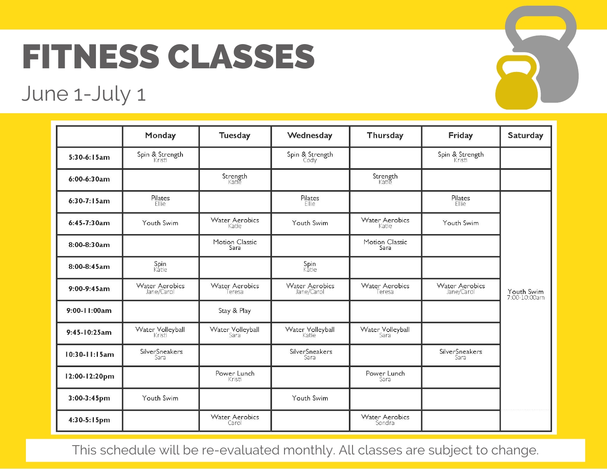## FITNESS CLASSES

## June 1-July 1



This schedule will be re-evaluated monthly. All classes are subject to change.